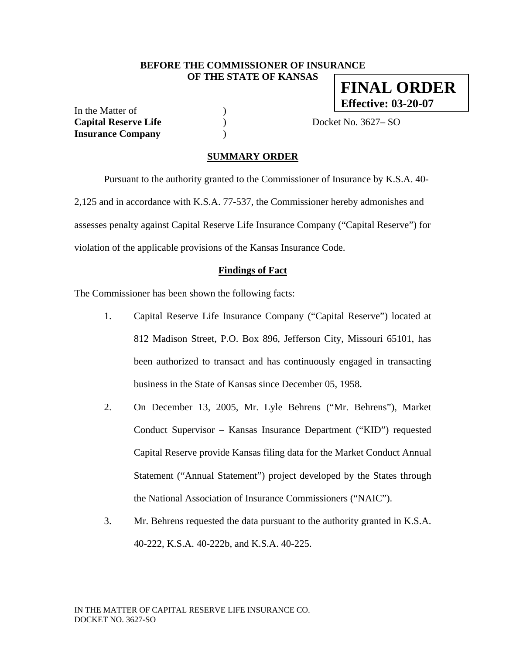#### **BEFORE THE COMMISSIONER OF INSURANCE OF THE STATE OF KANSAS**

In the Matter of  $( )$ **Capital Reserve Life** ) Docket No. 3627– SO **Insurance Company** )

**FINAL ORDER Effective: 03-20-07**

#### **SUMMARY ORDER**

 Pursuant to the authority granted to the Commissioner of Insurance by K.S.A. 40- 2,125 and in accordance with K.S.A. 77-537, the Commissioner hereby admonishes and assesses penalty against Capital Reserve Life Insurance Company ("Capital Reserve") for violation of the applicable provisions of the Kansas Insurance Code.

#### **Findings of Fact**

The Commissioner has been shown the following facts:

- 1. Capital Reserve Life Insurance Company ("Capital Reserve") located at 812 Madison Street, P.O. Box 896, Jefferson City, Missouri 65101, has been authorized to transact and has continuously engaged in transacting business in the State of Kansas since December 05, 1958.
- 2. On December 13, 2005, Mr. Lyle Behrens ("Mr. Behrens"), Market Conduct Supervisor – Kansas Insurance Department ("KID") requested Capital Reserve provide Kansas filing data for the Market Conduct Annual Statement ("Annual Statement") project developed by the States through the National Association of Insurance Commissioners ("NAIC").
- 3. Mr. Behrens requested the data pursuant to the authority granted in K.S.A. 40-222, K.S.A. 40-222b, and K.S.A. 40-225.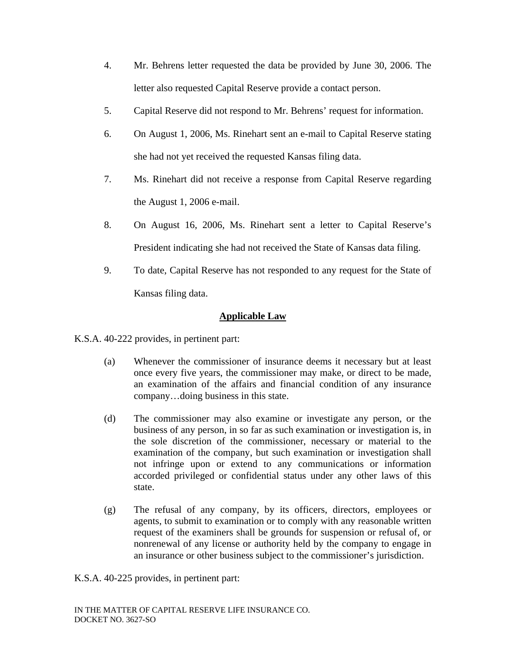- 4. Mr. Behrens letter requested the data be provided by June 30, 2006. The letter also requested Capital Reserve provide a contact person.
- 5. Capital Reserve did not respond to Mr. Behrens' request for information.
- 6. On August 1, 2006, Ms. Rinehart sent an e-mail to Capital Reserve stating she had not yet received the requested Kansas filing data.
- 7. Ms. Rinehart did not receive a response from Capital Reserve regarding the August 1, 2006 e-mail.
- 8. On August 16, 2006, Ms. Rinehart sent a letter to Capital Reserve's President indicating she had not received the State of Kansas data filing.
- 9. To date, Capital Reserve has not responded to any request for the State of Kansas filing data.

## **Applicable Law**

K.S.A. 40-222 provides, in pertinent part:

- (a) Whenever the commissioner of insurance deems it necessary but at least once every five years, the commissioner may make, or direct to be made, an examination of the affairs and financial condition of any insurance company…doing business in this state.
- (d) The commissioner may also examine or investigate any person, or the business of any person, in so far as such examination or investigation is, in the sole discretion of the commissioner, necessary or material to the examination of the company, but such examination or investigation shall not infringe upon or extend to any communications or information accorded privileged or confidential status under any other laws of this state.
- (g) The refusal of any company, by its officers, directors, employees or agents, to submit to examination or to comply with any reasonable written request of the examiners shall be grounds for suspension or refusal of, or nonrenewal of any license or authority held by the company to engage in an insurance or other business subject to the commissioner's jurisdiction.

K.S.A. 40-225 provides, in pertinent part: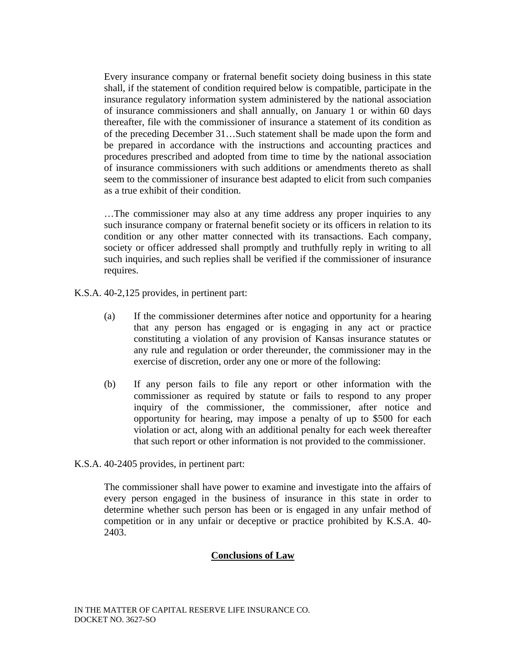Every insurance company or fraternal benefit society doing business in this state shall, if the statement of condition required below is compatible, participate in the insurance regulatory information system administered by the national association of insurance commissioners and shall annually, on January 1 or within 60 days thereafter, file with the commissioner of insurance a statement of its condition as of the preceding December 31…Such statement shall be made upon the form and be prepared in accordance with the instructions and accounting practices and procedures prescribed and adopted from time to time by the national association of insurance commissioners with such additions or amendments thereto as shall seem to the commissioner of insurance best adapted to elicit from such companies as a true exhibit of their condition.

…The commissioner may also at any time address any proper inquiries to any such insurance company or fraternal benefit society or its officers in relation to its condition or any other matter connected with its transactions. Each company, society or officer addressed shall promptly and truthfully reply in writing to all such inquiries, and such replies shall be verified if the commissioner of insurance requires.

K.S.A. 40-2,125 provides, in pertinent part:

- (a) If the commissioner determines after notice and opportunity for a hearing that any person has engaged or is engaging in any act or practice constituting a violation of any provision of Kansas insurance statutes or any rule and regulation or order thereunder, the commissioner may in the exercise of discretion, order any one or more of the following:
- (b) If any person fails to file any report or other information with the commissioner as required by statute or fails to respond to any proper inquiry of the commissioner, the commissioner, after notice and opportunity for hearing, may impose a penalty of up to \$500 for each violation or act, along with an additional penalty for each week thereafter that such report or other information is not provided to the commissioner.
- K.S.A. 40-2405 provides, in pertinent part:

The commissioner shall have power to examine and investigate into the affairs of every person engaged in the business of insurance in this state in order to determine whether such person has been or is engaged in any unfair method of competition or in any unfair or deceptive or practice prohibited by K.S.A. 40- 2403.

### **Conclusions of Law**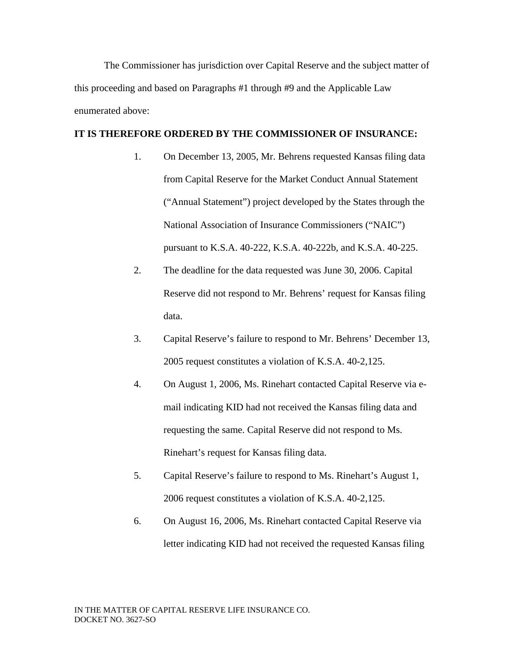The Commissioner has jurisdiction over Capital Reserve and the subject matter of this proceeding and based on Paragraphs #1 through #9 and the Applicable Law enumerated above:

#### **IT IS THEREFORE ORDERED BY THE COMMISSIONER OF INSURANCE:**

- 1. On December 13, 2005, Mr. Behrens requested Kansas filing data from Capital Reserve for the Market Conduct Annual Statement ("Annual Statement") project developed by the States through the National Association of Insurance Commissioners ("NAIC") pursuant to K.S.A. 40-222, K.S.A. 40-222b, and K.S.A. 40-225.
- 2. The deadline for the data requested was June 30, 2006. Capital Reserve did not respond to Mr. Behrens' request for Kansas filing data.
- 3. Capital Reserve's failure to respond to Mr. Behrens' December 13, 2005 request constitutes a violation of K.S.A. 40-2,125.
- 4. On August 1, 2006, Ms. Rinehart contacted Capital Reserve via email indicating KID had not received the Kansas filing data and requesting the same. Capital Reserve did not respond to Ms. Rinehart's request for Kansas filing data.
- 5. Capital Reserve's failure to respond to Ms. Rinehart's August 1, 2006 request constitutes a violation of K.S.A. 40-2,125.
- 6. On August 16, 2006, Ms. Rinehart contacted Capital Reserve via letter indicating KID had not received the requested Kansas filing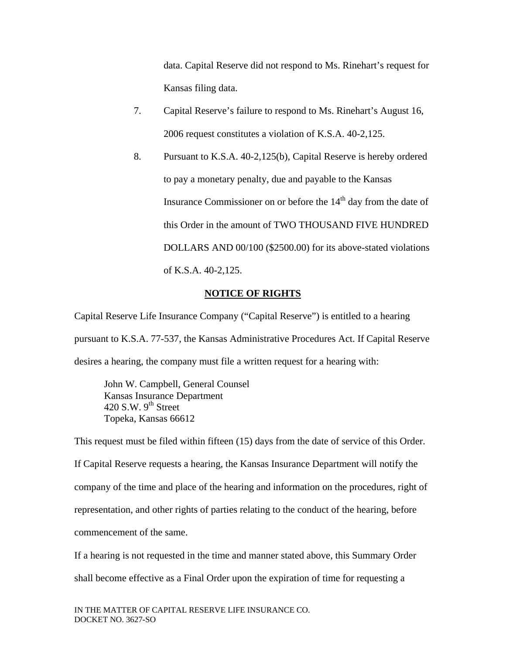data. Capital Reserve did not respond to Ms. Rinehart's request for Kansas filing data.

- 7. Capital Reserve's failure to respond to Ms. Rinehart's August 16, 2006 request constitutes a violation of K.S.A. 40-2,125.
- 8. Pursuant to K.S.A. 40-2,125(b), Capital Reserve is hereby ordered to pay a monetary penalty, due and payable to the Kansas Insurance Commissioner on or before the  $14<sup>th</sup>$  day from the date of this Order in the amount of TWO THOUSAND FIVE HUNDRED DOLLARS AND 00/100 (\$2500.00) for its above-stated violations of K.S.A. 40-2,125.

### **NOTICE OF RIGHTS**

Capital Reserve Life Insurance Company ("Capital Reserve") is entitled to a hearing pursuant to K.S.A. 77-537, the Kansas Administrative Procedures Act. If Capital Reserve desires a hearing, the company must file a written request for a hearing with:

 John W. Campbell, General Counsel Kansas Insurance Department 420 S.W.  $9<sup>th</sup>$  Street Topeka, Kansas 66612

This request must be filed within fifteen (15) days from the date of service of this Order. If Capital Reserve requests a hearing, the Kansas Insurance Department will notify the company of the time and place of the hearing and information on the procedures, right of representation, and other rights of parties relating to the conduct of the hearing, before commencement of the same.

If a hearing is not requested in the time and manner stated above, this Summary Order shall become effective as a Final Order upon the expiration of time for requesting a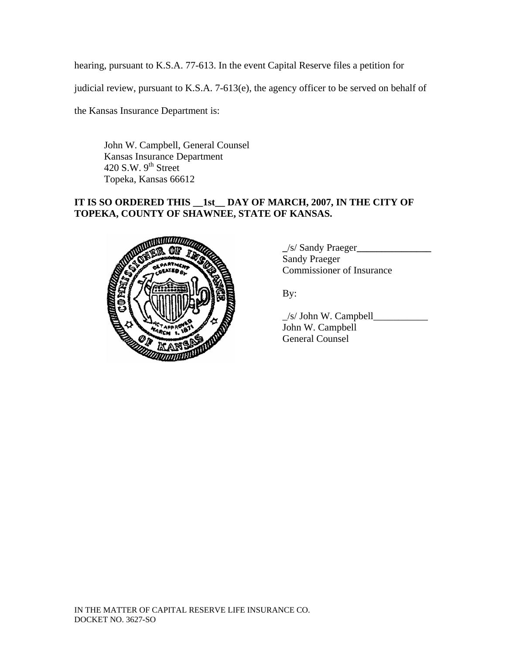hearing, pursuant to K.S.A. 77-613. In the event Capital Reserve files a petition for

judicial review, pursuant to K.S.A. 7-613(e), the agency officer to be served on behalf of

the Kansas Insurance Department is:

John W. Campbell, General Counsel Kansas Insurance Department 420 S.W. 9<sup>th</sup> Street Topeka, Kansas 66612

### **IT IS SO ORDERED THIS \_\_1st\_\_ DAY OF MARCH, 2007, IN THE CITY OF TOPEKA, COUNTY OF SHAWNEE, STATE OF KANSAS.**



**\_**/s/ Sandy Praeger**\_\_\_\_\_\_\_\_\_\_\_\_\_\_\_**  Sandy Praeger Commissioner of Insurance

 $\angle$ s/ John W. Campbell $\angle$  John W. Campbell General Counsel